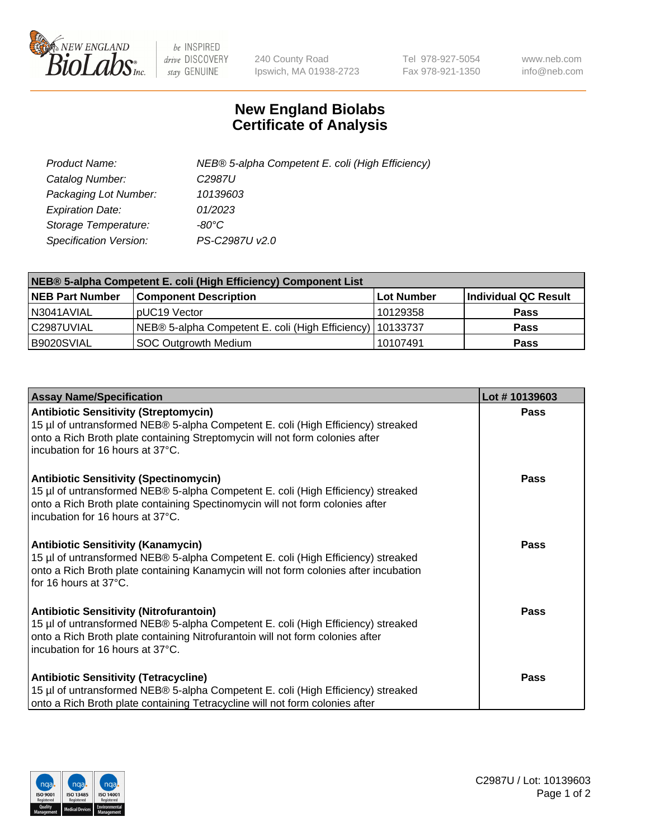

 $be$  INSPIRED drive DISCOVERY stay GENUINE

240 County Road Ipswich, MA 01938-2723 Tel 978-927-5054 Fax 978-921-1350 www.neb.com info@neb.com

## **New England Biolabs Certificate of Analysis**

| Product Name:                 | NEB® 5-alpha Competent E. coli (High Efficiency) |
|-------------------------------|--------------------------------------------------|
| Catalog Number:               | C <sub>2987</sub> U                              |
| Packaging Lot Number:         | 10139603                                         |
| <b>Expiration Date:</b>       | 01/2023                                          |
| Storage Temperature:          | -80°C                                            |
| <b>Specification Version:</b> | PS-C2987U v2.0                                   |

| NEB® 5-alpha Competent E. coli (High Efficiency) Component List |                                                             |            |                      |  |
|-----------------------------------------------------------------|-------------------------------------------------------------|------------|----------------------|--|
| <b>NEB Part Number</b>                                          | <b>Component Description</b>                                | Lot Number | Individual QC Result |  |
| N3041AVIAL                                                      | pUC19 Vector                                                | 10129358   | <b>Pass</b>          |  |
| C2987UVIAL                                                      | NEB® 5-alpha Competent E. coli (High Efficiency)   10133737 |            | <b>Pass</b>          |  |
| B9020SVIAL                                                      | <b>SOC Outgrowth Medium</b>                                 | 10107491   | <b>Pass</b>          |  |

| <b>Assay Name/Specification</b>                                                                                                                                                                                                                          | Lot #10139603 |
|----------------------------------------------------------------------------------------------------------------------------------------------------------------------------------------------------------------------------------------------------------|---------------|
| <b>Antibiotic Sensitivity (Streptomycin)</b><br>15 µl of untransformed NEB® 5-alpha Competent E. coli (High Efficiency) streaked<br>onto a Rich Broth plate containing Streptomycin will not form colonies after<br>incubation for 16 hours at 37°C.     | Pass          |
| <b>Antibiotic Sensitivity (Spectinomycin)</b><br>15 µl of untransformed NEB® 5-alpha Competent E. coli (High Efficiency) streaked<br>onto a Rich Broth plate containing Spectinomycin will not form colonies after<br>incubation for 16 hours at 37°C.   | Pass          |
| <b>Antibiotic Sensitivity (Kanamycin)</b><br>15 µl of untransformed NEB® 5-alpha Competent E. coli (High Efficiency) streaked<br>onto a Rich Broth plate containing Kanamycin will not form colonies after incubation<br>for 16 hours at 37°C.           | Pass          |
| <b>Antibiotic Sensitivity (Nitrofurantoin)</b><br>15 µl of untransformed NEB® 5-alpha Competent E. coli (High Efficiency) streaked<br>onto a Rich Broth plate containing Nitrofurantoin will not form colonies after<br>incubation for 16 hours at 37°C. | <b>Pass</b>   |
| <b>Antibiotic Sensitivity (Tetracycline)</b><br>15 µl of untransformed NEB® 5-alpha Competent E. coli (High Efficiency) streaked<br>onto a Rich Broth plate containing Tetracycline will not form colonies after                                         | Pass          |